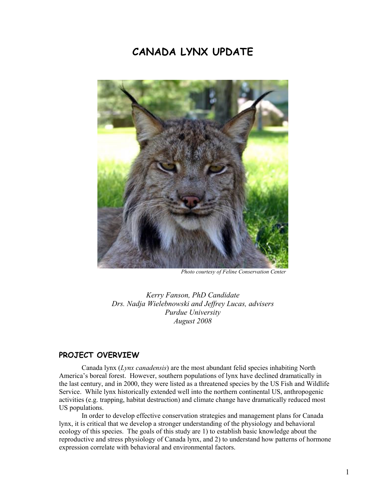# CANADA LYNX UPDATE



Photo courtesy of Feline Conservation Center

Kerry Fanson, PhD Candidate Drs. Nadja Wielebnowski and Jeffrey Lucas, advisers Purdue University August 2008

### PROJECT OVERVIEW

Canada lynx (Lynx canadensis) are the most abundant felid species inhabiting North America's boreal forest. However, southern populations of lynx have declined dramatically in the last century, and in 2000, they were listed as a threatened species by the US Fish and Wildlife Service. While lynx historically extended well into the northern continental US, anthropogenic activities (e.g. trapping, habitat destruction) and climate change have dramatically reduced most US populations.

In order to develop effective conservation strategies and management plans for Canada lynx, it is critical that we develop a stronger understanding of the physiology and behavioral ecology of this species. The goals of this study are 1) to establish basic knowledge about the reproductive and stress physiology of Canada lynx, and 2) to understand how patterns of hormone expression correlate with behavioral and environmental factors.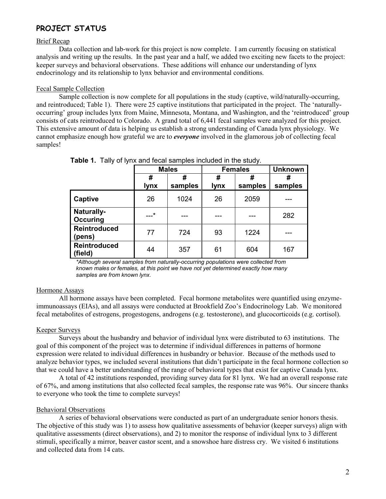# PROJECT STATUS

#### Brief Recap

 Data collection and lab-work for this project is now complete. I am currently focusing on statistical analysis and writing up the results. In the past year and a half, we added two exciting new facets to the project: keeper surveys and behavioral observations. These additions will enhance our understanding of lynx endocrinology and its relationship to lynx behavior and environmental conditions.

#### Fecal Sample Collection

 Sample collection is now complete for all populations in the study (captive, wild/naturally-occurring, and reintroduced; Table 1). There were 25 captive institutions that participated in the project. The 'naturallyoccurring' group includes lynx from Maine, Minnesota, Montana, and Washington, and the 'reintroduced' group consists of cats reintroduced to Colorado. A grand total of 6,441 fecal samples were analyzed for this project. This extensive amount of data is helping us establish a strong understanding of Canada lynx physiology. We cannot emphasize enough how grateful we are to *everyone* involved in the glamorous job of collecting fecal samples!

|                         | <b>Males</b>     |              | <b>Females</b> |         | <b>Unknown</b> |
|-------------------------|------------------|--------------|----------------|---------|----------------|
|                         | #<br><b>lynx</b> | #<br>samples | #<br>lynx      | samples | #<br>samples   |
| Captive                 | 26               | 1024         | 26             | 2059    |                |
| Naturally-<br>Occuring  | $-+$             | ---          |                |         | 282            |
| Reintroduced<br>(pens)  | 77               | 724          | 93             | 1224    |                |
| Reintroduced<br>(field) | 44               | 357          | 61             | 604     | 167            |

Table 1. Tally of lynx and fecal samples included in the study.

\*Although several samples from naturally-occurring populations were collected from known males or females, at this point we have not yet determined exactly how many samples are from known lynx.

#### Hormone Assays

 All hormone assays have been completed. Fecal hormone metabolites were quantified using enzymeimmunoassays (EIAs), and all assays were conducted at Brookfield Zoo's Endocrinology Lab. We monitored fecal metabolites of estrogens, progestogens, androgens (e.g. testosterone), and glucocorticoids (e.g. cortisol).

#### Keeper Surveys

 Surveys about the husbandry and behavior of individual lynx were distributed to 63 institutions. The goal of this component of the project was to determine if individual differences in patterns of hormone expression were related to individual differences in husbandry or behavior. Because of the methods used to analyze behavior types, we included several institutions that didn't participate in the fecal hormone collection so that we could have a better understanding of the range of behavioral types that exist for captive Canada lynx.

A total of 42 institutions responded, providing survey data for 81 lynx. We had an overall response rate of 67%, and among institutions that also collected fecal samples, the response rate was 96%. Our sincere thanks to everyone who took the time to complete surveys!

#### Behavioral Observations

 A series of behavioral observations were conducted as part of an undergraduate senior honors thesis. The objective of this study was 1) to assess how qualitative assessments of behavior (keeper surveys) align with qualitative assessments (direct observations), and 2) to monitor the response of individual lynx to 3 different stimuli, specifically a mirror, beaver castor scent, and a snowshoe hare distress cry. We visited 6 institutions and collected data from 14 cats.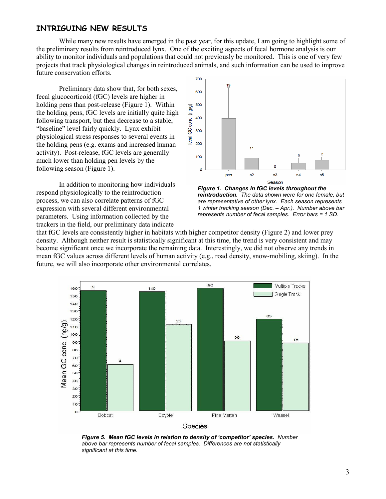## INTRIGUING NEW RESULTS

While many new results have emerged in the past year, for this update, I am going to highlight some of the preliminary results from reintroduced lynx. One of the exciting aspects of fecal hormone analysis is our ability to monitor individuals and populations that could not previously be monitored. This is one of very few projects that track physiological changes in reintroduced animals, and such information can be used to improve future conservation efforts.

Preliminary data show that, for both sexes, fecal glucocorticoid (fGC) levels are higher in holding pens than post-release (Figure 1). Within the holding pens, fGC levels are initially quite high following transport, but then decrease to a stable, "baseline" level fairly quickly. Lynx exhibit physiological stress responses to several events in the holding pens (e.g. exams and increased human activity). Post-release, fGC levels are generally much lower than holding pen levels by the following season (Figure 1).

 In addition to monitoring how individuals respond physiologically to the reintroduction process, we can also correlate patterns of fGC expression with several different environmental parameters. Using information collected by the trackers in the field, our preliminary data indicate



Figure 1. Changes in fGC levels throughout the reintroduction. The data shown were for one female, but are representative of other lynx. Each season represents 1 winter tracking season (Dec. – Apr.). Number above bar represents number of fecal samples. Error bars = 1 SD.

that fGC levels are consistently higher in habitats with higher competitor density (Figure 2) and lower prey density. Although neither result is statistically significant at this time, the trend is very consistent and may become significant once we incorporate the remaining data. Interestingly, we did not observe any trends in mean fGC values across different levels of human activity (e.g., road density, snow-mobiling, skiing). In the future, we will also incorporate other environmental correlates.



Figure 5. Mean fGC levels in relation to density of 'competitor' species. Number above bar represents number of fecal samples. Differences are not statistically significant at this time.